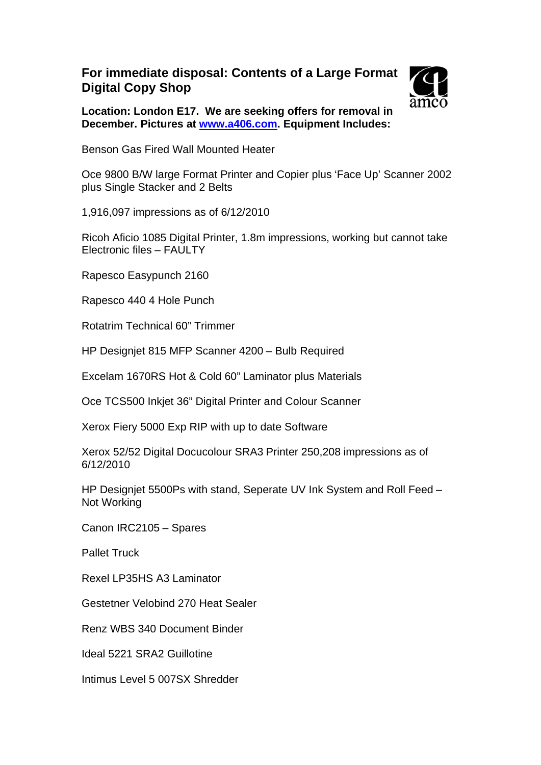## **For immediate disposal: Contents of a Large Format Digital Copy Shop**



**Location: London E17. We are seeking offers for removal in December. Pictures at [www.a406.com](http://www.a406.com/compass). Equipment Includes:** 

Benson Gas Fired Wall Mounted Heater

Oce 9800 B/W large Format Printer and Copier plus 'Face Up' Scanner 2002 plus Single Stacker and 2 Belts

1,916,097 impressions as of 6/12/2010

Ricoh Aficio 1085 Digital Printer, 1.8m impressions, working but cannot take Electronic files – FAULTY

Rapesco Easypunch 2160

Rapesco 440 4 Hole Punch

Rotatrim Technical 60" Trimmer

HP Designjet 815 MFP Scanner 4200 – Bulb Required

Excelam 1670RS Hot & Cold 60" Laminator plus Materials

Oce TCS500 Inkjet 36" Digital Printer and Colour Scanner

Xerox Fiery 5000 Exp RIP with up to date Software

Xerox 52/52 Digital Docucolour SRA3 Printer 250,208 impressions as of 6/12/2010

HP Designjet 5500Ps with stand, Seperate UV Ink System and Roll Feed – Not Working

Canon IRC2105 – Spares

Pallet Truck

Rexel LP35HS A3 Laminator

Gestetner Velobind 270 Heat Sealer

Renz WBS 340 Document Binder

Ideal 5221 SRA2 Guillotine

Intimus Level 5 007SX Shredder